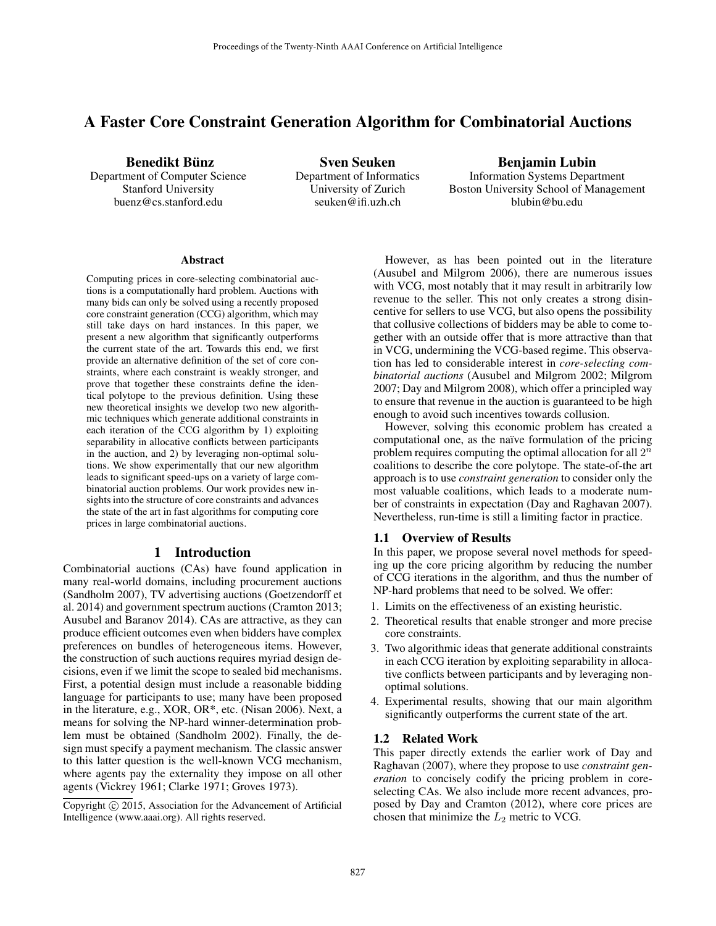# A Faster Core Constraint Generation Algorithm for Combinatorial Auctions

Benedikt Bünz

Department of Computer Science Stanford University buenz@cs.stanford.edu

Sven Seuken Department of Informatics University of Zurich seuken@ifi.uzh.ch

Benjamin Lubin Information Systems Department Boston University School of Management blubin@bu.edu

#### Abstract

Computing prices in core-selecting combinatorial auctions is a computationally hard problem. Auctions with many bids can only be solved using a recently proposed core constraint generation (CCG) algorithm, which may still take days on hard instances. In this paper, we present a new algorithm that significantly outperforms the current state of the art. Towards this end, we first provide an alternative definition of the set of core constraints, where each constraint is weakly stronger, and prove that together these constraints define the identical polytope to the previous definition. Using these new theoretical insights we develop two new algorithmic techniques which generate additional constraints in each iteration of the CCG algorithm by 1) exploiting separability in allocative conflicts between participants in the auction, and 2) by leveraging non-optimal solutions. We show experimentally that our new algorithm leads to significant speed-ups on a variety of large combinatorial auction problems. Our work provides new insights into the structure of core constraints and advances the state of the art in fast algorithms for computing core prices in large combinatorial auctions.

# 1 Introduction

Combinatorial auctions (CAs) have found application in many real-world domains, including procurement auctions (Sandholm 2007), TV advertising auctions (Goetzendorff et al. 2014) and government spectrum auctions (Cramton 2013; Ausubel and Baranov 2014). CAs are attractive, as they can produce efficient outcomes even when bidders have complex preferences on bundles of heterogeneous items. However, the construction of such auctions requires myriad design decisions, even if we limit the scope to sealed bid mechanisms. First, a potential design must include a reasonable bidding language for participants to use; many have been proposed in the literature, e.g., XOR, OR\*, etc. (Nisan 2006). Next, a means for solving the NP-hard winner-determination problem must be obtained (Sandholm 2002). Finally, the design must specify a payment mechanism. The classic answer to this latter question is the well-known VCG mechanism, where agents pay the externality they impose on all other agents (Vickrey 1961; Clarke 1971; Groves 1973).

However, as has been pointed out in the literature (Ausubel and Milgrom 2006), there are numerous issues with VCG, most notably that it may result in arbitrarily low revenue to the seller. This not only creates a strong disincentive for sellers to use VCG, but also opens the possibility that collusive collections of bidders may be able to come together with an outside offer that is more attractive than that in VCG, undermining the VCG-based regime. This observation has led to considerable interest in *core-selecting combinatorial auctions* (Ausubel and Milgrom 2002; Milgrom 2007; Day and Milgrom 2008), which offer a principled way to ensure that revenue in the auction is guaranteed to be high enough to avoid such incentives towards collusion.

However, solving this economic problem has created a computational one, as the naïve formulation of the pricing problem requires computing the optimal allocation for all  $2^n$ coalitions to describe the core polytope. The state-of-the art approach is to use *constraint generation* to consider only the most valuable coalitions, which leads to a moderate number of constraints in expectation (Day and Raghavan 2007). Nevertheless, run-time is still a limiting factor in practice.

#### 1.1 Overview of Results

In this paper, we propose several novel methods for speeding up the core pricing algorithm by reducing the number of CCG iterations in the algorithm, and thus the number of NP-hard problems that need to be solved. We offer:

- 1. Limits on the effectiveness of an existing heuristic.
- 2. Theoretical results that enable stronger and more precise core constraints.
- 3. Two algorithmic ideas that generate additional constraints in each CCG iteration by exploiting separability in allocative conflicts between participants and by leveraging nonoptimal solutions.
- 4. Experimental results, showing that our main algorithm significantly outperforms the current state of the art.

## 1.2 Related Work

This paper directly extends the earlier work of Day and Raghavan (2007), where they propose to use *constraint generation* to concisely codify the pricing problem in coreselecting CAs. We also include more recent advances, proposed by Day and Cramton (2012), where core prices are chosen that minimize the  $L_2$  metric to VCG.

Copyright  $\odot$  2015, Association for the Advancement of Artificial Intelligence (www.aaai.org). All rights reserved.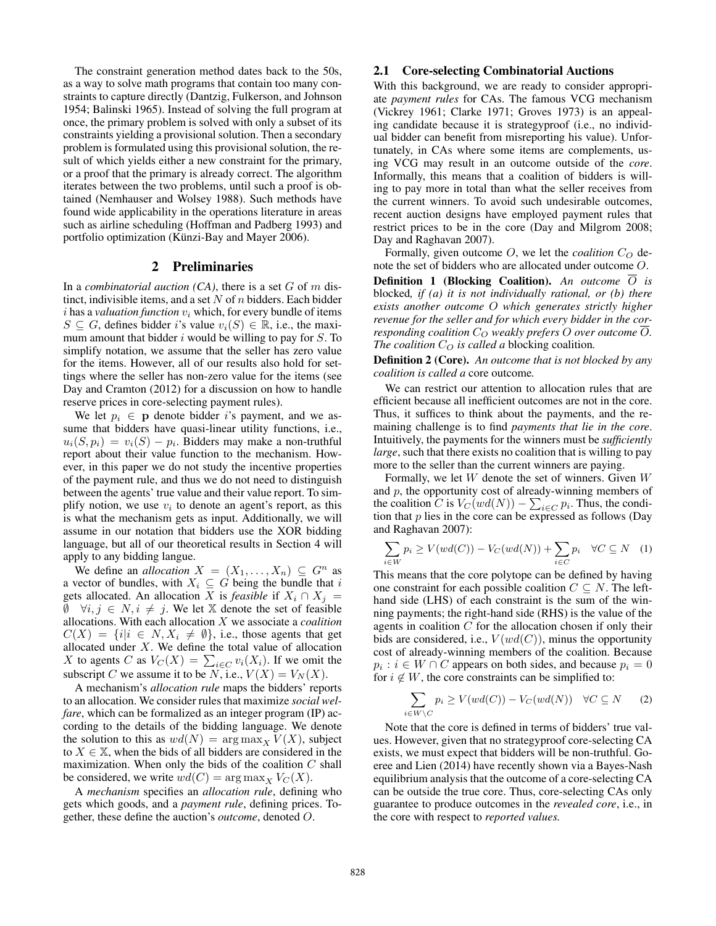The constraint generation method dates back to the 50s, as a way to solve math programs that contain too many constraints to capture directly (Dantzig, Fulkerson, and Johnson 1954; Balinski 1965). Instead of solving the full program at once, the primary problem is solved with only a subset of its constraints yielding a provisional solution. Then a secondary problem is formulated using this provisional solution, the result of which yields either a new constraint for the primary, or a proof that the primary is already correct. The algorithm iterates between the two problems, until such a proof is obtained (Nemhauser and Wolsey 1988). Such methods have found wide applicability in the operations literature in areas such as airline scheduling (Hoffman and Padberg 1993) and portfolio optimization (Künzi-Bay and Mayer 2006).

# 2 Preliminaries

In a *combinatorial auction* (CA), there is a set G of m distinct, indivisible items, and a set N of  $n$  bidders. Each bidder  $i$  has a *valuation function*  $v_i$ , which, for every bundle of items  $S \subseteq G$ , defines bidder i's value  $v_i(S) \in \mathbb{R}$ , i.e., the maximum amount that bidder  $i$  would be willing to pay for  $S$ . To simplify notation, we assume that the seller has zero value for the items. However, all of our results also hold for settings where the seller has non-zero value for the items (see Day and Cramton (2012) for a discussion on how to handle reserve prices in core-selecting payment rules).

We let  $p_i \in \mathbf{p}$  denote bidder is payment, and we assume that bidders have quasi-linear utility functions, i.e.,  $u_i(S, p_i) = v_i(S) - p_i$ . Bidders may make a non-truthful report about their value function to the mechanism. However, in this paper we do not study the incentive properties of the payment rule, and thus we do not need to distinguish between the agents' true value and their value report. To simplify notion, we use  $v_i$  to denote an agent's report, as this is what the mechanism gets as input. Additionally, we will assume in our notation that bidders use the XOR bidding language, but all of our theoretical results in Section 4 will apply to any bidding langue.

We define an *allocation*  $X = (X_1, \ldots, X_n) \subseteq G^n$  as a vector of bundles, with  $X_i \subseteq G$  being the bundle that i gets allocated. An allocation X is *feasible* if  $X_i \cap X_j =$  $\emptyset$   $\forall i, j \in N, i \neq j$ . We let X denote the set of feasible allocations. With each allocation X we associate a *coalition*  $C(X) = \{i | i \in N, X_i \neq \emptyset\}$ , i.e., those agents that get allocated under  $X$ . We define the total value of allocation X to agents C as  $V_C(X) = \sum_{i \in C} v_i(X_i)$ . If we omit the subscript C we assume it to be N, i.e.,  $V(X) = V_N(X)$ .

A mechanism's *allocation rule* maps the bidders' reports to an allocation. We consider rules that maximize *social welfare*, which can be formalized as an integer program (IP) according to the details of the bidding language. We denote the solution to this as  $wd(N) = \arg \max_{X} V(X)$ , subject to  $X \in \mathbb{X}$ , when the bids of all bidders are considered in the maximization. When only the bids of the coalition  $C$  shall be considered, we write  $wd(C) = \arg \max_{X} V_C(X)$ .

A *mechanism* specifies an *allocation rule*, defining who gets which goods, and a *payment rule*, defining prices. Together, these define the auction's *outcome*, denoted O.

### 2.1 Core-selecting Combinatorial Auctions

With this background, we are ready to consider appropriate *payment rules* for CAs. The famous VCG mechanism (Vickrey 1961; Clarke 1971; Groves 1973) is an appealing candidate because it is strategyproof (i.e., no individual bidder can benefit from misreporting his value). Unfortunately, in CAs where some items are complements, using VCG may result in an outcome outside of the *core*. Informally, this means that a coalition of bidders is willing to pay more in total than what the seller receives from the current winners. To avoid such undesirable outcomes, recent auction designs have employed payment rules that restrict prices to be in the core (Day and Milgrom 2008; Day and Raghavan 2007).

Formally, given outcome  $O$ , we let the *coalition*  $C_O$  denote the set of bidders who are allocated under outcome O.

Definition 1 (Blocking Coalition). *An outcome* O *is* blocked*, if (a) it is not individually rational, or (b) there exists another outcome* O *which generates strictly higher revenue for the seller and for which every bidder in the corresponding coalition*  $C_{\mathcal{O}}$  *weakly prefers* O *over outcome*  $\overline{O}$ *. The coalition*  $C_O$  *is called a* blocking coalition.

Definition 2 (Core). *An outcome that is not blocked by any coalition is called a* core outcome*.*

We can restrict our attention to allocation rules that are efficient because all inefficient outcomes are not in the core. Thus, it suffices to think about the payments, and the remaining challenge is to find *payments that lie in the core*. Intuitively, the payments for the winners must be *sufficiently large*, such that there exists no coalition that is willing to pay more to the seller than the current winners are paying.

Formally, we let  $W$  denote the set of winners. Given  $W$ and  $p$ , the opportunity cost of already-winning members of the coalition C is  $V_C(wd(N)) - \sum_{i \in C} p_i$ . Thus, the condition that  $p$  lies in the core can be expressed as follows (Day and Raghavan 2007):

$$
\sum_{i \in W} p_i \ge V(wd(C)) - V_C(wd(N)) + \sum_{i \in C} p_i \quad \forall C \subseteq N \quad (1)
$$

This means that the core polytope can be defined by having one constraint for each possible coalition  $C \subseteq N$ . The lefthand side (LHS) of each constraint is the sum of the winning payments; the right-hand side (RHS) is the value of the agents in coalition C for the allocation chosen if only their bids are considered, i.e.,  $V(wd(C))$ , minus the opportunity cost of already-winning members of the coalition. Because  $p_i : i \in W \cap C$  appears on both sides, and because  $p_i = 0$ for  $i \notin W$ , the core constraints can be simplified to:

$$
\sum_{i \in W \setminus C} p_i \ge V(wd(C)) - V_C(wd(N)) \quad \forall C \subseteq N \qquad (2)
$$

Note that the core is defined in terms of bidders' true values. However, given that no strategyproof core-selecting CA exists, we must expect that bidders will be non-truthful. Goeree and Lien (2014) have recently shown via a Bayes-Nash equilibrium analysis that the outcome of a core-selecting CA can be outside the true core. Thus, core-selecting CAs only guarantee to produce outcomes in the *revealed core*, i.e., in the core with respect to *reported values.*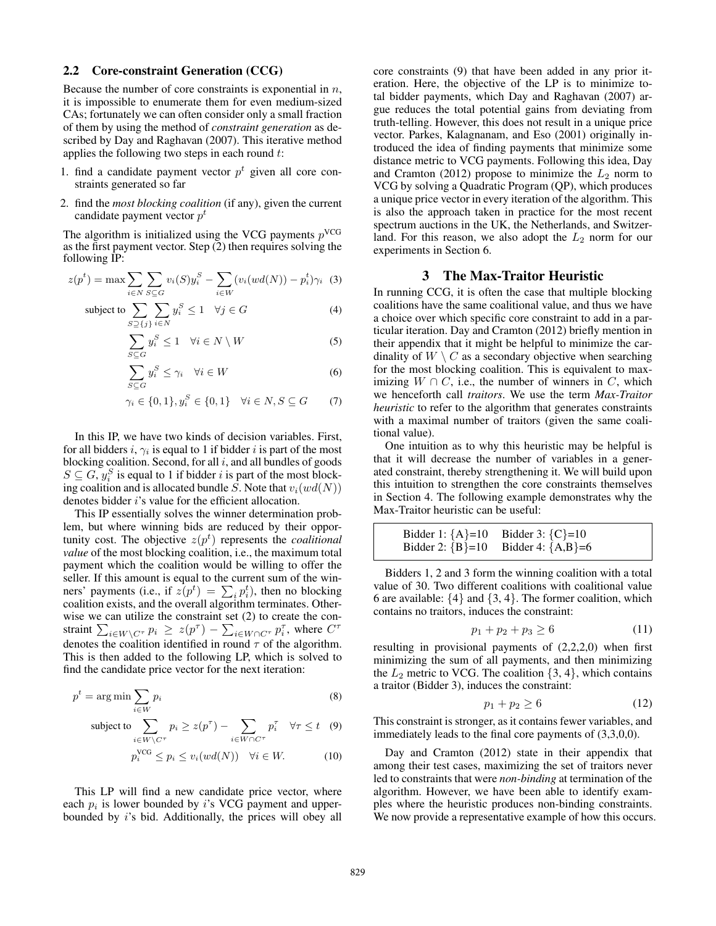### 2.2 Core-constraint Generation (CCG)

Because the number of core constraints is exponential in  $n$ , it is impossible to enumerate them for even medium-sized CAs; fortunately we can often consider only a small fraction of them by using the method of *constraint generation* as described by Day and Raghavan (2007). This iterative method applies the following two steps in each round  $t$ :

- 1. find a candidate payment vector  $p<sup>t</sup>$  given all core constraints generated so far
- 2. find the *most blocking coalition* (if any), given the current candidate payment vector  $p^t$

The algorithm is initialized using the VCG payments  $p<sup>VCG</sup>$ as the first payment vector. Step (2) then requires solving the following IP:

$$
z(pt) = \max \sum_{i \in N} \sum_{S \subseteq G} v_i(S) y_i^S - \sum_{i \in W} (v_i(wd(N)) - p_i^t) \gamma_i \tag{3}
$$

subject to 
$$
\sum_{S \supseteq \{j\}} \sum_{i \in N} y_i^S \le 1 \quad \forall j \in G
$$
 (4)

$$
\sum_{S \subseteq G} y_i^S \le 1 \quad \forall i \in N \setminus W \tag{5}
$$

$$
\sum_{S \subseteq G} y_i^S \le \gamma_i \quad \forall i \in W \tag{6}
$$

$$
\gamma_i \in \{0, 1\}, y_i^S \in \{0, 1\} \quad \forall i \in N, S \subseteq G \tag{7}
$$

In this IP, we have two kinds of decision variables. First, for all bidders *i*,  $\gamma_i$  is equal to 1 if bidder *i* is part of the most blocking coalition. Second, for all  $i$ , and all bundles of goods  $S \subseteq G$ ,  $y_i^S$  is equal to 1 if bidder i is part of the most blocking coalition and is allocated bundle S. Note that  $v_i(wd(N))$ denotes bidder i's value for the efficient allocation.

This IP essentially solves the winner determination problem, but where winning bids are reduced by their opportunity cost. The objective  $z(p<sup>t</sup>)$  represents the *coalitional value* of the most blocking coalition, i.e., the maximum total payment which the coalition would be willing to offer the seller. If this amount is equal to the current sum of the winners' payments (i.e., if  $z(p^t) = \sum_i p_i^t$ ), then no blocking coalition exists, and the overall algorithm terminates. Otherwise we can utilize the constraint set (2) to create the constraint  $\sum_{i \in W \setminus C^{\tau}} p_i \ge z(p^{\tau}) - \sum_{i \in W \cap C^{\tau}} p_i^{\tau}$ , where  $C^{\tau}$ denotes the coalition identified in round  $\tau$  of the algorithm. This is then added to the following LP, which is solved to find the candidate price vector for the next iteration:

$$
p^t = \arg\min \sum_{i \in W} p_i \tag{8}
$$

subject to 
$$
\sum_{i \in W \setminus C^{\tau}} p_i \ge z(p^{\tau}) - \sum_{i \in W \cap C^{\tau}} p_i^{\tau} \quad \forall \tau \le t \quad (9)
$$

$$
p_i^{\text{VCG}} \le p_i \le v_i(wd(N)) \quad \forall i \in W. \tag{10}
$$

This LP will find a new candidate price vector, where each  $p_i$  is lower bounded by i's VCG payment and upperbounded by i's bid. Additionally, the prices will obey all core constraints (9) that have been added in any prior iteration. Here, the objective of the LP is to minimize total bidder payments, which Day and Raghavan (2007) argue reduces the total potential gains from deviating from truth-telling. However, this does not result in a unique price vector. Parkes, Kalagnanam, and Eso (2001) originally introduced the idea of finding payments that minimize some distance metric to VCG payments. Following this idea, Day and Cramton (2012) propose to minimize the  $L_2$  norm to VCG by solving a Quadratic Program (QP), which produces a unique price vector in every iteration of the algorithm. This is also the approach taken in practice for the most recent spectrum auctions in the UK, the Netherlands, and Switzerland. For this reason, we also adopt the  $L_2$  norm for our experiments in Section 6.

# 3 The Max-Traitor Heuristic

In running CCG, it is often the case that multiple blocking coalitions have the same coalitional value, and thus we have a choice over which specific core constraint to add in a particular iteration. Day and Cramton (2012) briefly mention in their appendix that it might be helpful to minimize the cardinality of  $W \setminus C$  as a secondary objective when searching for the most blocking coalition. This is equivalent to maximizing  $W \cap C$ , i.e., the number of winners in C, which we henceforth call *traitors*. We use the term *Max-Traitor heuristic* to refer to the algorithm that generates constraints with a maximal number of traitors (given the same coalitional value).

One intuition as to why this heuristic may be helpful is that it will decrease the number of variables in a generated constraint, thereby strengthening it. We will build upon this intuition to strengthen the core constraints themselves in Section 4. The following example demonstrates why the Max-Traitor heuristic can be useful:

Bidder 1: 
$$
\{A\}=10
$$
 Bidder 3:  $\{C\}=10$   
Bidder 2:  $\{B\}=10$  Bidder 4:  $\{A,B\}=6$ 

Bidders 1, 2 and 3 form the winning coalition with a total value of 30. Two different coalitions with coalitional value 6 are available:  $\{4\}$  and  $\{3, 4\}$ . The former coalition, which contains no traitors, induces the constraint:

$$
p_1 + p_2 + p_3 \ge 6 \tag{11}
$$

resulting in provisional payments of (2,2,2,0) when first minimizing the sum of all payments, and then minimizing the  $L_2$  metric to VCG. The coalition  $\{3, 4\}$ , which contains a traitor (Bidder 3), induces the constraint:

$$
p_1 + p_2 \ge 6\tag{12}
$$

This constraint is stronger, as it contains fewer variables, and immediately leads to the final core payments of (3,3,0,0).

Day and Cramton (2012) state in their appendix that among their test cases, maximizing the set of traitors never led to constraints that were *non-binding* at termination of the algorithm. However, we have been able to identify examples where the heuristic produces non-binding constraints. We now provide a representative example of how this occurs.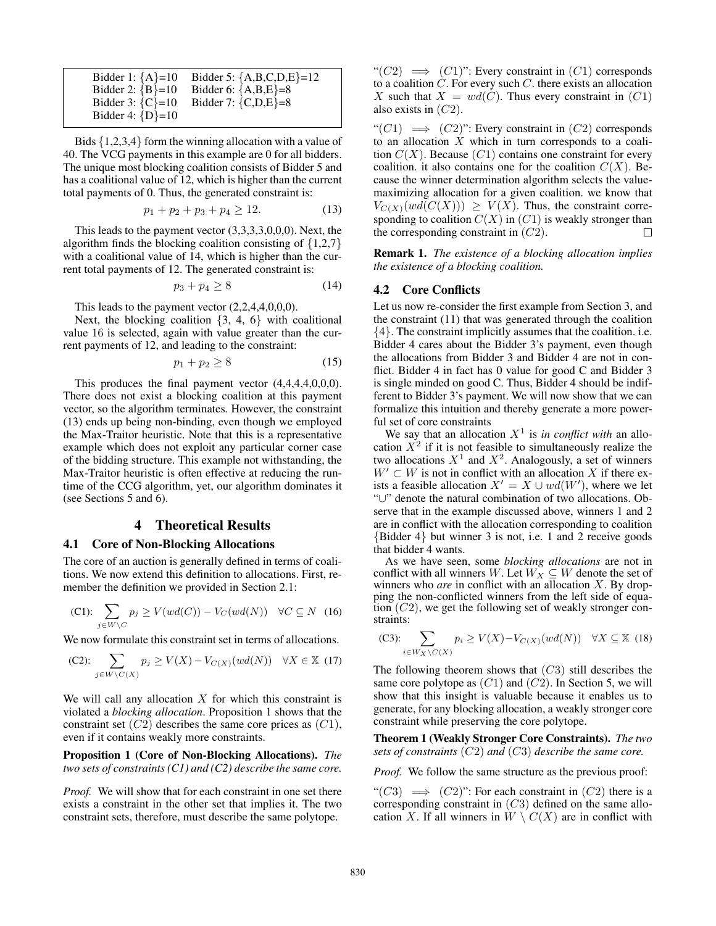| Bidder 1: ${A} = 10$                           | Bidder 5: ${A,B,C,D,E} = 12$ |
|------------------------------------------------|------------------------------|
| Bidder 2: ${B} = 10$                           | Bidder 6: ${A,B,E} = 8$      |
| Bidder 3: ${C} = 10$<br>Bidder 4: $\{D\} = 10$ | Bidder 7: ${C,D,E} = 8$      |

Bids {1,2,3,4} form the winning allocation with a value of 40. The VCG payments in this example are 0 for all bidders. The unique most blocking coalition consists of Bidder 5 and has a coalitional value of 12, which is higher than the current total payments of 0. Thus, the generated constraint is:

$$
p_1 + p_2 + p_3 + p_4 \ge 12. \tag{13}
$$

This leads to the payment vector (3,3,3,3,0,0,0). Next, the algorithm finds the blocking coalition consisting of  $\{1,2,7\}$ with a coalitional value of 14, which is higher than the current total payments of 12. The generated constraint is:

$$
p_3 + p_4 \ge 8\tag{14}
$$

This leads to the payment vector  $(2,2,4,4,0,0,0)$ .

Next, the blocking coalition  $\{3, 4, 6\}$  with coalitional value 16 is selected, again with value greater than the current payments of 12, and leading to the constraint:

$$
p_1 + p_2 \ge 8 \tag{15}
$$

This produces the final payment vector (4,4,4,4,0,0,0). There does not exist a blocking coalition at this payment vector, so the algorithm terminates. However, the constraint (13) ends up being non-binding, even though we employed the Max-Traitor heuristic. Note that this is a representative example which does not exploit any particular corner case of the bidding structure. This example not withstanding, the Max-Traitor heuristic is often effective at reducing the runtime of the CCG algorithm, yet, our algorithm dominates it (see Sections 5 and 6).

# 4 Theoretical Results

#### 4.1 Core of Non-Blocking Allocations

The core of an auction is generally defined in terms of coalitions. We now extend this definition to allocations. First, remember the definition we provided in Section 2.1:

(C1): 
$$
\sum_{j \in W \setminus C} p_j \ge V(wd(C)) - V_C(wd(N)) \quad \forall C \subseteq N \quad (16)
$$

We now formulate this constraint set in terms of allocations.

(C2): 
$$
\sum_{j \in W \setminus C(X)} p_j \ge V(X) - V_{C(X)}(wd(N)) \quad \forall X \in \mathbb{X} \tag{17}
$$

We will call any allocation  $X$  for which this constraint is violated a *blocking allocation*. Proposition 1 shows that the constraint set  $(C2)$  describes the same core prices as  $(C1)$ , even if it contains weakly more constraints.

Proposition 1 (Core of Non-Blocking Allocations). *The two sets of constraints (C1) and (C2) describe the same core.*

*Proof.* We will show that for each constraint in one set there exists a constraint in the other set that implies it. The two constraint sets, therefore, must describe the same polytope.

" $(C2) \implies (C1)$ ": Every constraint in  $(C1)$  corresponds to a coalition  $C$ . For every such  $C$ , there exists an allocation X such that  $X = wd(C)$ . Thus every constraint in  $(C1)$ also exists in  $(C2)$ .

" $(C1) \implies (C2)$ ": Every constraint in  $(C2)$  corresponds to an allocation  $X$  which in turn corresponds to a coalition  $C(X)$ . Because  $(C1)$  contains one constraint for every coalition. it also contains one for the coalition  $C(X)$ . Because the winner determination algorithm selects the valuemaximizing allocation for a given coalition. we know that  $V_{C(X)}(wd(C(X))) \geq V(X)$ . Thus, the constraint corresponding to coalition  $C(X)$  in  $(C1)$  is weakly stronger than the corresponding constraint in  $(C2)$ . П

Remark 1. *The existence of a blocking allocation implies the existence of a blocking coalition.*

### 4.2 Core Conflicts

Let us now re-consider the first example from Section 3, and the constraint (11) that was generated through the coalition {4}. The constraint implicitly assumes that the coalition. i.e. Bidder 4 cares about the Bidder 3's payment, even though the allocations from Bidder 3 and Bidder 4 are not in conflict. Bidder 4 in fact has 0 value for good C and Bidder 3 is single minded on good C. Thus, Bidder 4 should be indifferent to Bidder 3's payment. We will now show that we can formalize this intuition and thereby generate a more powerful set of core constraints

We say that an allocation  $X<sup>1</sup>$  is *in conflict with* an allocation  $\overline{X}^2$  if it is not feasible to simultaneously realize the two allocations  $X^1$  and  $X^2$ . Analogously, a set of winners  $W' \subset W$  is not in conflict with an allocation X if there exists a feasible allocation  $X' = X \cup wd(W')$ , where we let "∪" denote the natural combination of two allocations. Observe that in the example discussed above, winners 1 and 2 are in conflict with the allocation corresponding to coalition {Bidder 4} but winner 3 is not, i.e. 1 and 2 receive goods that bidder 4 wants.

As we have seen, some *blocking allocations* are not in conflict with all winners W. Let  $W_X \subseteq W$  denote the set of winners who *are* in conflict with an allocation X. By dropping the non-conflicted winners from the left side of equation  $(C2)$ , we get the following set of weakly stronger constraints:

(C3): 
$$
\sum_{i \in W_X \setminus C(X)} p_i \ge V(X) - V_{C(X)}(wd(N)) \quad \forall X \subseteq \mathbb{X} \tag{18}
$$

The following theorem shows that  $(C3)$  still describes the same core polytope as  $(C1)$  and  $(C2)$ . In Section 5, we will show that this insight is valuable because it enables us to generate, for any blocking allocation, a weakly stronger core constraint while preserving the core polytope.

Theorem 1 (Weakly Stronger Core Constraints). *The two sets of constraints* (C2) *and* (C3) *describe the same core.*

*Proof.* We follow the same structure as the previous proof:

"(C3)  $\implies$  (C2)": For each constraint in (C2) there is a corresponding constraint in  $(C3)$  defined on the same allocation X. If all winners in  $W \setminus C(X)$  are in conflict with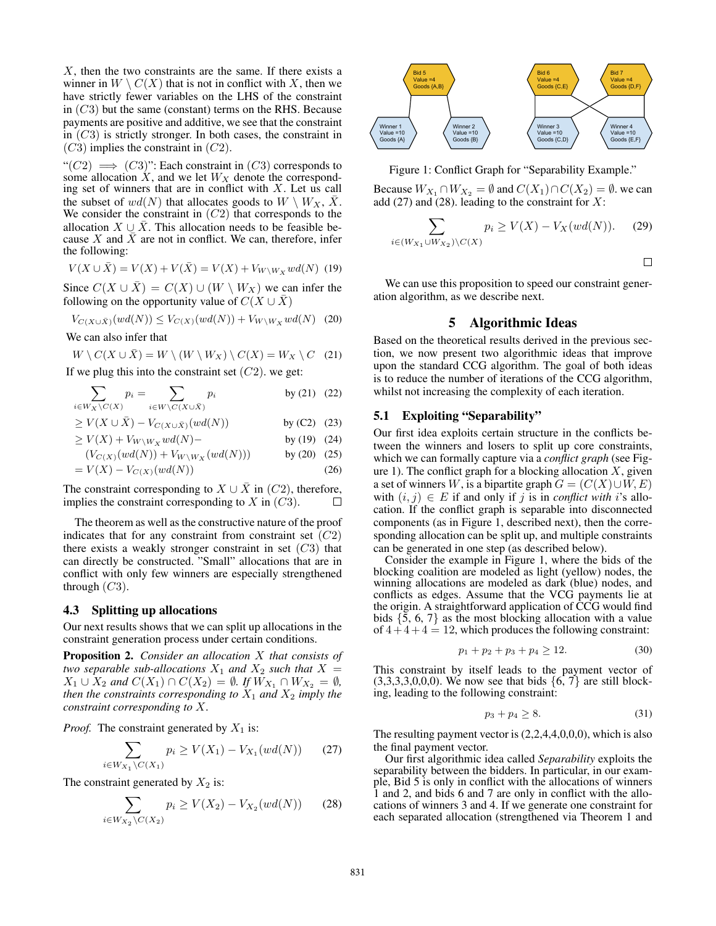X, then the two constraints are the same. If there exists a winner in  $W \setminus C(X)$  that is not in conflict with X, then we have strictly fewer variables on the LHS of the constraint in  $(C3)$  but the same (constant) terms on the RHS. Because payments are positive and additive, we see that the constraint in  $(C3)$  is strictly stronger. In both cases, the constraint in  $(C3)$  implies the constraint in  $(C2)$ .

" $(C2) \implies (C3)$ ": Each constraint in  $(C3)$  corresponds to some allocation  $X$ , and we let  $W_X$  denote the corresponding set of winners that are in conflict with  $X$ . Let us call the subset of  $wd(N)$  that allocates goods to  $W \setminus W_X$ ,  $\bar{X}$ . We consider the constraint in  $(C2)$  that corresponds to the allocation  $X \cup \overline{X}$ . This allocation needs to be feasible because X and  $\overline{X}$  are not in conflict. We can, therefore, infer the following:

$$
V(X \cup \bar{X}) = V(X) + V(\bar{X}) = V(X) + V_{W \setminus W_X} w d(N) \tag{19}
$$

Since  $C(X \cup \overline{X}) = C(X) \cup (W \setminus W_X)$  we can infer the following on the opportunity value of  $C(X \cup \overline{X})$ 

$$
V_{C(X \cup \bar{X})}(wd(N)) \leq V_{C(X)}(wd(N)) + V_{W \setminus W_X}wd(N) \quad (20)
$$

We can also infer that

$$
W \setminus C(X \cup \bar{X}) = W \setminus (W \setminus W_X) \setminus C(X) = W_X \setminus C \quad (21)
$$

If we plug this into the constraint set  $(C2)$ , we get:

$$
\sum_{i \in W_X \backslash C(X)} p_i = \sum_{i \in W \backslash C(X \cup \bar{X})} p_i \qquad \text{by (21) (22)}
$$

$$
\geq V(X \cup \bar{X}) - V_{C(X \cup \bar{X})}(wd(N)) \qquad \text{by (C2) (23)}
$$

$$
\geq V(X) + V_{W \setminus W_X} w d(N) - \qquad \qquad \text{by (19) (24)}
$$

$$
(V_{C(X)}(wd(N)) + V_{W\setminus W_X}(wd(N))) \t\t by (20) (25)
$$

$$
= V(X) - V_{C(X)}(wd(N))
$$
\n(26)

The constraint corresponding to  $X \cup \overline{X}$  in (C2), therefore, implies the constraint corresponding to  $X$  in  $(C3)$ .  $\Box$ 

The theorem as well as the constructive nature of the proof indicates that for any constraint from constraint set  $(C2)$ there exists a weakly stronger constraint in set  $(C3)$  that can directly be constructed. "Small" allocations that are in conflict with only few winners are especially strengthened through  $(C3)$ .

# 4.3 Splitting up allocations

Our next results shows that we can split up allocations in the constraint generation process under certain conditions.

Proposition 2. *Consider an allocation* X *that consists of two separable sub-allocations*  $X_1$  *and*  $X_2$  *such that*  $X =$  $X_1 \cup X_2$  *and*  $C(X_1) \cap C(X_2) = ∅$ *. If*  $W_{X_1} \cap W_{X_2} = ∅$ *, then the constraints corresponding to*  $X_1$  *and*  $X_2$  *imply the constraint corresponding to* X*.*

*Proof.* The constraint generated by  $X_1$  is:

$$
\sum_{i \in W_{X_1} \backslash C(X_1)} p_i \ge V(X_1) - V_{X_1}(wd(N)) \tag{27}
$$

The constraint generated by  $X_2$  is:

$$
\sum_{i \in W_{X_2} \setminus C(X_2)} p_i \ge V(X_2) - V_{X_2}(wd(N)) \tag{28}
$$



Figure 1: Conflict Graph for "Separability Example."

Because  $W_{X_1} \cap W_{X_2} = \emptyset$  and  $C(X_1) \cap C(X_2) = \emptyset$ . we can add (27) and (28). leading to the constraint for  $X$ :

$$
\sum_{i \in (W_{X_1} \cup W_{X_2}) \backslash C(X)} p_i \ge V(X) - V_X(wd(N)). \tag{29}
$$

 $\Box$ 

We can use this proposition to speed our constraint generation algorithm, as we describe next.

### 5 Algorithmic Ideas

Based on the theoretical results derived in the previous section, we now present two algorithmic ideas that improve upon the standard CCG algorithm. The goal of both ideas is to reduce the number of iterations of the CCG algorithm, whilst not increasing the complexity of each iteration.

#### 5.1 Exploiting "Separability"

Our first idea exploits certain structure in the conflicts between the winners and losers to split up core constraints, which we can formally capture via a *conflict graph* (see Figure 1). The conflict graph for a blocking allocation  $X$ , given a set of winners W, is a bipartite graph  $G = (C(X) \cup W, E)$ with  $(i, j) \in E$  if and only if j is in *conflict with* i's allocation. If the conflict graph is separable into disconnected components (as in Figure 1, described next), then the corresponding allocation can be split up, and multiple constraints can be generated in one step (as described below).

Consider the example in Figure 1, where the bids of the blocking coalition are modeled as light (yellow) nodes, the winning allocations are modeled as dark (blue) nodes, and conflicts as edges. Assume that the VCG payments lie at the origin. A straightforward application of CCG would find bids  $\{5, 6, 7\}$  as the most blocking allocation with a value of  $4 + 4 + 4 = 12$ , which produces the following constraint:

$$
p_1 + p_2 + p_3 + p_4 \ge 12. \tag{30}
$$

This constraint by itself leads to the payment vector of  $(3,3,3,3,0,0,0)$ . We now see that bids  $\{6, 7\}$  are still blocking, leading to the following constraint:

$$
p_3 + p_4 \ge 8. \tag{31}
$$

The resulting payment vector is  $(2,2,4,4,0,0,0)$ , which is also the final payment vector.

Our first algorithmic idea called *Separability* exploits the separability between the bidders. In particular, in our example, Bid 5 is only in conflict with the allocations of winners 1 and 2, and bids 6 and 7 are only in conflict with the allocations of winners 3 and 4. If we generate one constraint for each separated allocation (strengthened via Theorem 1 and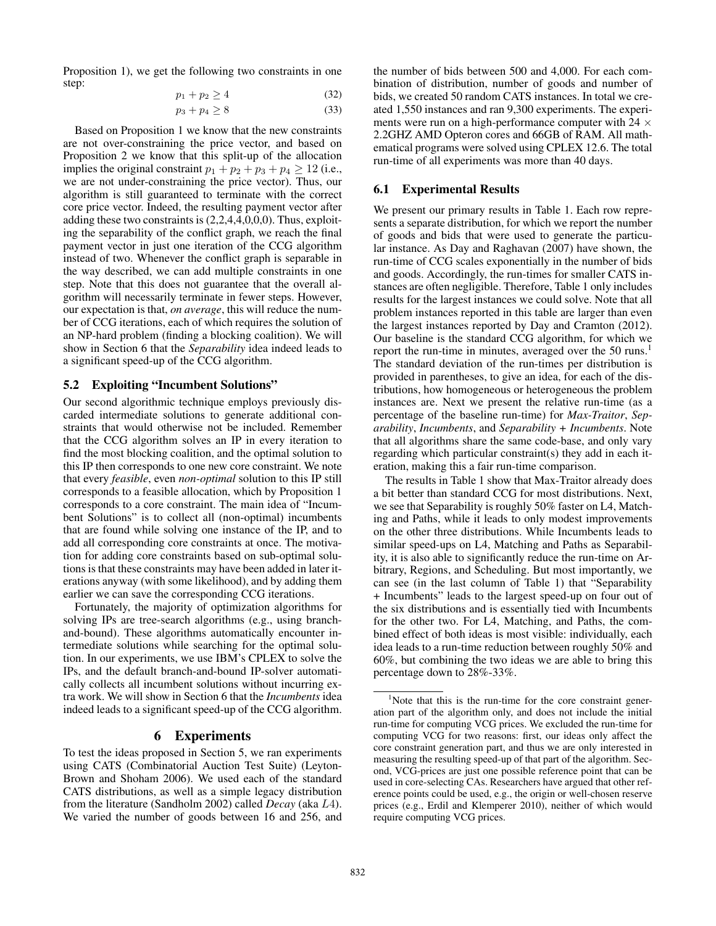Proposition 1), we get the following two constraints in one step:

$$
p_1 + p_2 \ge 4 \tag{32}
$$

 $p_3 + p_4 \ge 8$  (33)

Based on Proposition 1 we know that the new constraints are not over-constraining the price vector, and based on Proposition 2 we know that this split-up of the allocation implies the original constraint  $p_1 + p_2 + p_3 + p_4 \geq 12$  (i.e., we are not under-constraining the price vector). Thus, our algorithm is still guaranteed to terminate with the correct core price vector. Indeed, the resulting payment vector after adding these two constraints is (2,2,4,4,0,0,0). Thus, exploiting the separability of the conflict graph, we reach the final payment vector in just one iteration of the CCG algorithm instead of two. Whenever the conflict graph is separable in the way described, we can add multiple constraints in one step. Note that this does not guarantee that the overall algorithm will necessarily terminate in fewer steps. However, our expectation is that, *on average*, this will reduce the number of CCG iterations, each of which requires the solution of an NP-hard problem (finding a blocking coalition). We will show in Section 6 that the *Separability* idea indeed leads to a significant speed-up of the CCG algorithm.

# 5.2 Exploiting "Incumbent Solutions"

Our second algorithmic technique employs previously discarded intermediate solutions to generate additional constraints that would otherwise not be included. Remember that the CCG algorithm solves an IP in every iteration to find the most blocking coalition, and the optimal solution to this IP then corresponds to one new core constraint. We note that every *feasible*, even *non-optimal* solution to this IP still corresponds to a feasible allocation, which by Proposition 1 corresponds to a core constraint. The main idea of "Incumbent Solutions" is to collect all (non-optimal) incumbents that are found while solving one instance of the IP, and to add all corresponding core constraints at once. The motivation for adding core constraints based on sub-optimal solutions is that these constraints may have been added in later iterations anyway (with some likelihood), and by adding them earlier we can save the corresponding CCG iterations.

Fortunately, the majority of optimization algorithms for solving IPs are tree-search algorithms (e.g., using branchand-bound). These algorithms automatically encounter intermediate solutions while searching for the optimal solution. In our experiments, we use IBM's CPLEX to solve the IPs, and the default branch-and-bound IP-solver automatically collects all incumbent solutions without incurring extra work. We will show in Section 6 that the *Incumbents* idea indeed leads to a significant speed-up of the CCG algorithm.

# 6 Experiments

To test the ideas proposed in Section 5, we ran experiments using CATS (Combinatorial Auction Test Suite) (Leyton-Brown and Shoham 2006). We used each of the standard CATS distributions, as well as a simple legacy distribution from the literature (Sandholm 2002) called *Decay* (aka L4). We varied the number of goods between 16 and 256, and

the number of bids between 500 and 4,000. For each combination of distribution, number of goods and number of bids, we created 50 random CATS instances. In total we created 1,550 instances and ran 9,300 experiments. The experiments were run on a high-performance computer with 24  $\times$ 2.2GHZ AMD Opteron cores and 66GB of RAM. All mathematical programs were solved using CPLEX 12.6. The total run-time of all experiments was more than 40 days.

# 6.1 Experimental Results

We present our primary results in Table 1. Each row represents a separate distribution, for which we report the number of goods and bids that were used to generate the particular instance. As Day and Raghavan (2007) have shown, the run-time of CCG scales exponentially in the number of bids and goods. Accordingly, the run-times for smaller CATS instances are often negligible. Therefore, Table 1 only includes results for the largest instances we could solve. Note that all problem instances reported in this table are larger than even the largest instances reported by Day and Cramton (2012). Our baseline is the standard CCG algorithm, for which we report the run-time in minutes, averaged over the 50 runs.<sup>1</sup> The standard deviation of the run-times per distribution is provided in parentheses, to give an idea, for each of the distributions, how homogeneous or heterogeneous the problem instances are. Next we present the relative run-time (as a percentage of the baseline run-time) for *Max-Traitor*, *Separability*, *Incumbents*, and *Separability + Incumbents*. Note that all algorithms share the same code-base, and only vary regarding which particular constraint(s) they add in each iteration, making this a fair run-time comparison.

The results in Table 1 show that Max-Traitor already does a bit better than standard CCG for most distributions. Next, we see that Separability is roughly 50% faster on L4, Matching and Paths, while it leads to only modest improvements on the other three distributions. While Incumbents leads to similar speed-ups on L4, Matching and Paths as Separability, it is also able to significantly reduce the run-time on Arbitrary, Regions, and Scheduling. But most importantly, we can see (in the last column of Table 1) that "Separability + Incumbents" leads to the largest speed-up on four out of the six distributions and is essentially tied with Incumbents for the other two. For L4, Matching, and Paths, the combined effect of both ideas is most visible: individually, each idea leads to a run-time reduction between roughly 50% and 60%, but combining the two ideas we are able to bring this percentage down to 28%-33%.

<sup>&</sup>lt;sup>1</sup>Note that this is the run-time for the core constraint generation part of the algorithm only, and does not include the initial run-time for computing VCG prices. We excluded the run-time for computing VCG for two reasons: first, our ideas only affect the core constraint generation part, and thus we are only interested in measuring the resulting speed-up of that part of the algorithm. Second, VCG-prices are just one possible reference point that can be used in core-selecting CAs. Researchers have argued that other reference points could be used, e.g., the origin or well-chosen reserve prices (e.g., Erdil and Klemperer 2010), neither of which would require computing VCG prices.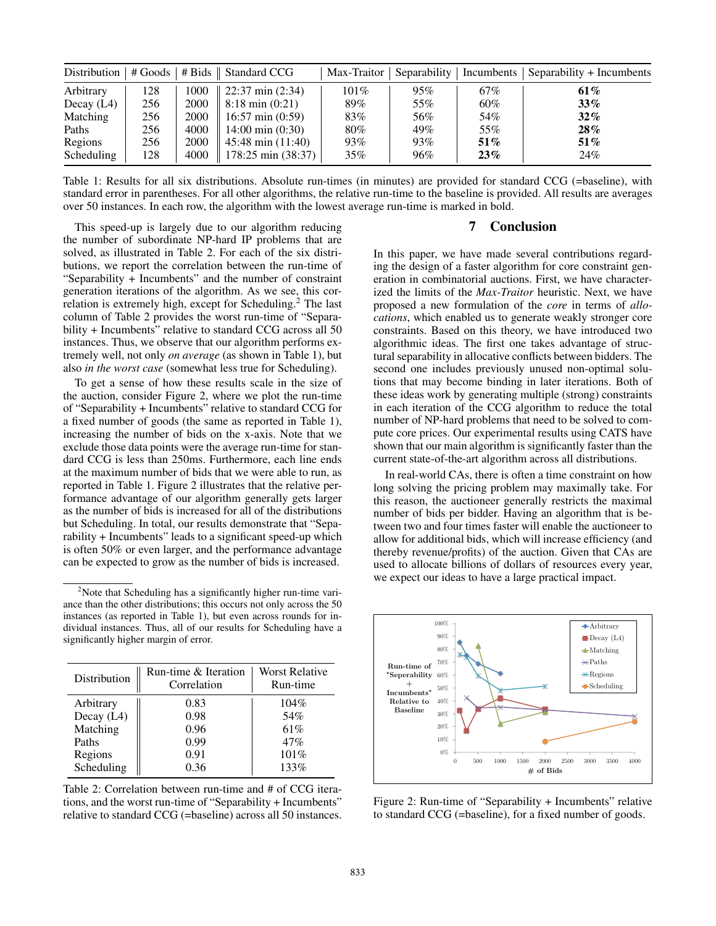|              |     |      | Distribution   $#$ Goods   $#$ Bids    Standard CCG |         |     |        | Max-Traitor   Separability   Incumbents   Separability + Incumbents |
|--------------|-----|------|-----------------------------------------------------|---------|-----|--------|---------------------------------------------------------------------|
| Arbitrary    | 128 | 1000 | $22:37 \text{ min} (2:34)$                          | $101\%$ | 95% | 67%    | 61%                                                                 |
| Decay $(L4)$ | 256 | 2000 | $8:18 \text{ min } (0:21)$                          | 89%     | 55% | 60%    | $33\%$                                                              |
| Matching     | 256 | 2000 | $16:57 \text{ min } (0:59)$                         | 83%     | 56% | 54%    | $32\%$                                                              |
| Paths        | 256 | 4000 | $14:00 \text{ min } (0:30)$                         | 80%     | 49% | 55%    | $28\%$                                                              |
| Regions      | 256 | 2000 | $45:48 \text{ min} (11:40)$                         | 93%     | 93% | $51\%$ | $51\%$                                                              |
| Scheduling   | 128 | 4000 | 178:25 min (38:37)                                  | $35\%$  | 96% | 23%    | 24%                                                                 |

Table 1: Results for all six distributions. Absolute run-times (in minutes) are provided for standard CCG (=baseline), with standard error in parentheses. For all other algorithms, the relative run-time to the baseline is provided. All results are averages over 50 instances. In each row, the algorithm with the lowest average run-time is marked in bold.

This speed-up is largely due to our algorithm reducing the number of subordinate NP-hard IP problems that are solved, as illustrated in Table 2. For each of the six distributions, we report the correlation between the run-time of "Separability + Incumbents" and the number of constraint generation iterations of the algorithm. As we see, this correlation is extremely high, except for Scheduling.<sup>2</sup> The last column of Table 2 provides the worst run-time of "Separability + Incumbents" relative to standard CCG across all 50 instances. Thus, we observe that our algorithm performs extremely well, not only *on average* (as shown in Table 1), but also *in the worst case* (somewhat less true for Scheduling).

To get a sense of how these results scale in the size of the auction, consider Figure 2, where we plot the run-time of "Separability + Incumbents" relative to standard CCG for a fixed number of goods (the same as reported in Table 1), increasing the number of bids on the x-axis. Note that we exclude those data points were the average run-time for standard CCG is less than 250ms. Furthermore, each line ends at the maximum number of bids that we were able to run, as reported in Table 1. Figure 2 illustrates that the relative performance advantage of our algorithm generally gets larger as the number of bids is increased for all of the distributions but Scheduling. In total, our results demonstrate that "Separability + Incumbents" leads to a significant speed-up which is often 50% or even larger, and the performance advantage can be expected to grow as the number of bids is increased.

<sup>&</sup>lt;sup>2</sup>Note that Scheduling has a significantly higher run-time variance than the other distributions; this occurs not only across the 50 instances (as reported in Table 1), but even across rounds for individual instances. Thus, all of our results for Scheduling have a significantly higher margin of error.

| Distribution | Run-time & Iteration<br>Correlation | Worst Relative<br>Run-time |
|--------------|-------------------------------------|----------------------------|
| Arbitrary    | 0.83                                | $104\%$                    |
| Decay $(L4)$ | 0.98                                | 54%                        |
| Matching     | 0.96                                | 61%                        |
| Paths        | 0.99                                | 47%                        |
| Regions      | 0.91                                | 101%                       |
| Scheduling   | 0.36                                | 133%                       |

Table 2: Correlation between run-time and # of CCG iterations, and the worst run-time of "Separability + Incumbents" relative to standard CCG (=baseline) across all 50 instances.

# 7 Conclusion

In this paper, we have made several contributions regarding the design of a faster algorithm for core constraint generation in combinatorial auctions. First, we have characterized the limits of the *Max-Traitor* heuristic. Next, we have proposed a new formulation of the *core* in terms of *allocations*, which enabled us to generate weakly stronger core constraints. Based on this theory, we have introduced two algorithmic ideas. The first one takes advantage of structural separability in allocative conflicts between bidders. The second one includes previously unused non-optimal solutions that may become binding in later iterations. Both of these ideas work by generating multiple (strong) constraints in each iteration of the CCG algorithm to reduce the total number of NP-hard problems that need to be solved to compute core prices. Our experimental results using CATS have shown that our main algorithm is significantly faster than the current state-of-the-art algorithm across all distributions.

In real-world CAs, there is often a time constraint on how long solving the pricing problem may maximally take. For this reason, the auctioneer generally restricts the maximal number of bids per bidder. Having an algorithm that is between two and four times faster will enable the auctioneer to allow for additional bids, which will increase efficiency (and thereby revenue/profits) of the auction. Given that CAs are used to allocate billions of dollars of resources every year, we expect our ideas to have a large practical impact.



Figure 2: Run-time of "Separability + Incumbents" relative to standard CCG (=baseline), for a fixed number of goods.